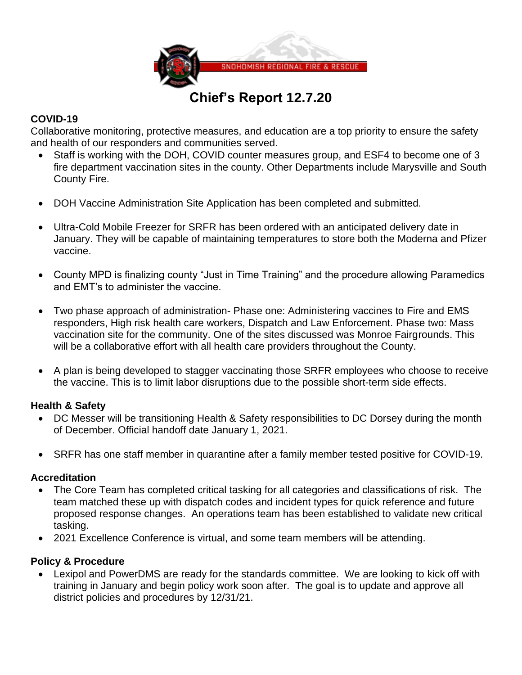

# **Chief's Report 12.7.20**

## **COVID-19**

Collaborative monitoring, protective measures, and education are a top priority to ensure the safety and health of our responders and communities served.

- Staff is working with the DOH, COVID counter measures group, and ESF4 to become one of 3 fire department vaccination sites in the county. Other Departments include Marysville and South County Fire.
- DOH Vaccine Administration Site Application has been completed and submitted.
- Ultra-Cold Mobile Freezer for SRFR has been ordered with an anticipated delivery date in January. They will be capable of maintaining temperatures to store both the Moderna and Pfizer vaccine.
- County MPD is finalizing county "Just in Time Training" and the procedure allowing Paramedics and EMT's to administer the vaccine.
- Two phase approach of administration- Phase one: Administering vaccines to Fire and EMS responders, High risk health care workers, Dispatch and Law Enforcement. Phase two: Mass vaccination site for the community. One of the sites discussed was Monroe Fairgrounds. This will be a collaborative effort with all health care providers throughout the County.
- A plan is being developed to stagger vaccinating those SRFR employees who choose to receive the vaccine. This is to limit labor disruptions due to the possible short-term side effects.

# **Health & Safety**

- DC Messer will be transitioning Health & Safety responsibilities to DC Dorsey during the month of December. Official handoff date January 1, 2021.
- SRFR has one staff member in quarantine after a family member tested positive for COVID-19.

# **Accreditation**

- The Core Team has completed critical tasking for all categories and classifications of risk. The team matched these up with dispatch codes and incident types for quick reference and future proposed response changes. An operations team has been established to validate new critical tasking.
- 2021 Excellence Conference is virtual, and some team members will be attending.

# **Policy & Procedure**

• Lexipol and PowerDMS are ready for the standards committee. We are looking to kick off with training in January and begin policy work soon after. The goal is to update and approve all district policies and procedures by 12/31/21.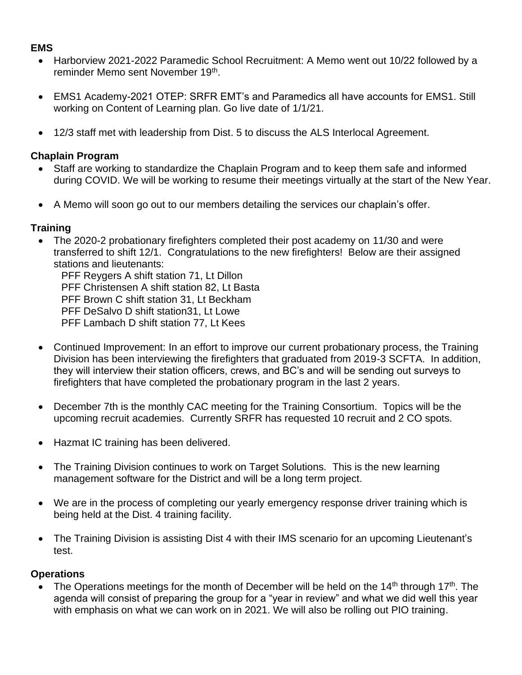## **EMS**

- Harborview 2021-2022 Paramedic School Recruitment: A Memo went out 10/22 followed by a reminder Memo sent November 19<sup>th</sup>.
- EMS1 Academy-2021 OTEP: SRFR EMT's and Paramedics all have accounts for EMS1. Still working on Content of Learning plan. Go live date of 1/1/21.
- 12/3 staff met with leadership from Dist. 5 to discuss the ALS Interlocal Agreement.

## **Chaplain Program**

- Staff are working to standardize the Chaplain Program and to keep them safe and informed during COVID. We will be working to resume their meetings virtually at the start of the New Year.
- A Memo will soon go out to our members detailing the services our chaplain's offer.

## **Training**

• The 2020-2 probationary firefighters completed their post academy on 11/30 and were transferred to shift 12/1. Congratulations to the new firefighters! Below are their assigned stations and lieutenants:

PFF Reygers A shift station 71, Lt Dillon PFF Christensen A shift station 82, Lt Basta PFF Brown C shift station 31, Lt Beckham PFF DeSalvo D shift station31, Lt Lowe PFF Lambach D shift station 77, Lt Kees

- Continued Improvement: In an effort to improve our current probationary process, the Training Division has been interviewing the firefighters that graduated from 2019-3 SCFTA. In addition, they will interview their station officers, crews, and BC's and will be sending out surveys to firefighters that have completed the probationary program in the last 2 years.
- December 7th is the monthly CAC meeting for the Training Consortium. Topics will be the upcoming recruit academies. Currently SRFR has requested 10 recruit and 2 CO spots.
- Hazmat IC training has been delivered.
- The Training Division continues to work on Target Solutions. This is the new learning management software for the District and will be a long term project.
- We are in the process of completing our yearly emergency response driver training which is being held at the Dist. 4 training facility.
- The Training Division is assisting Dist 4 with their IMS scenario for an upcoming Lieutenant's test.

# **Operations**

• The Operations meetings for the month of December will be held on the  $14<sup>th</sup>$  through  $17<sup>th</sup>$ . The agenda will consist of preparing the group for a "year in review" and what we did well this year with emphasis on what we can work on in 2021. We will also be rolling out PIO training.